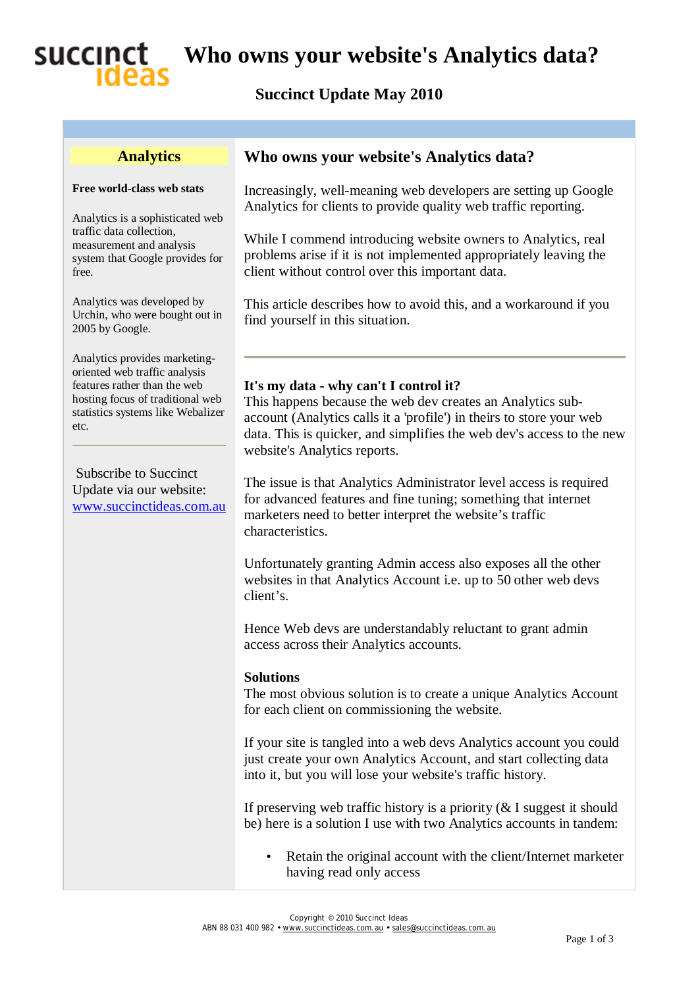

**Who owns your website's Analytics data?** 

### **Succinct Update May 2010**

#### **Analytics**

#### **Free world-class web stats**

Analytics is a sophisticated web traffic data collection, measurement and analysis system that Google provides for free.

Analytics was developed by Urchin, who were bought out in 2005 by Google.

Analytics provides marketingoriented web traffic analysis features rather than the web hosting focus of traditional web statistics systems like Webalizer etc.

Subscribe to Succinct Update via our website: [www.succinctideas.com.au](http://www.succinctideas.com.au)

### **Who owns your website's Analytics data?**

Increasingly, well-meaning web developers are setting up Google Analytics for clients to provide quality web traffic reporting.

While I commend introducing website owners to Analytics, real problems arise if it is not implemented appropriately leaving the client without control over this important data.

This article describes how to avoid this, and a workaround if you find yourself in this situation.

#### **It's my data - why can't I control it?**

This happens because the web dev creates an Analytics subaccount (Analytics calls it a 'profile') in theirs to store your web data. This is quicker, and simplifies the web dev's access to the new website's Analytics reports.

The issue is that Analytics Administrator level access is required for advanced features and fine tuning; something that internet marketers need to better interpret the website's traffic characteristics.

Unfortunately granting Admin access also exposes all the other websites in that Analytics Account i.e. up to 50 other web devs client's.

Hence Web devs are understandably reluctant to grant admin access across their Analytics accounts.

#### **Solutions**

The most obvious solution is to create a unique Analytics Account for each client on commissioning the website.

If your site is tangled into a web devs Analytics account you could just create your own Analytics Account, and start collecting data into it, but you will lose your website's traffic history.

If preserving web traffic history is a priority  $(\&$  I suggest it should be) here is a solution I use with two Analytics accounts in tandem:

• Retain the original account with the client/Internet marketer having read only access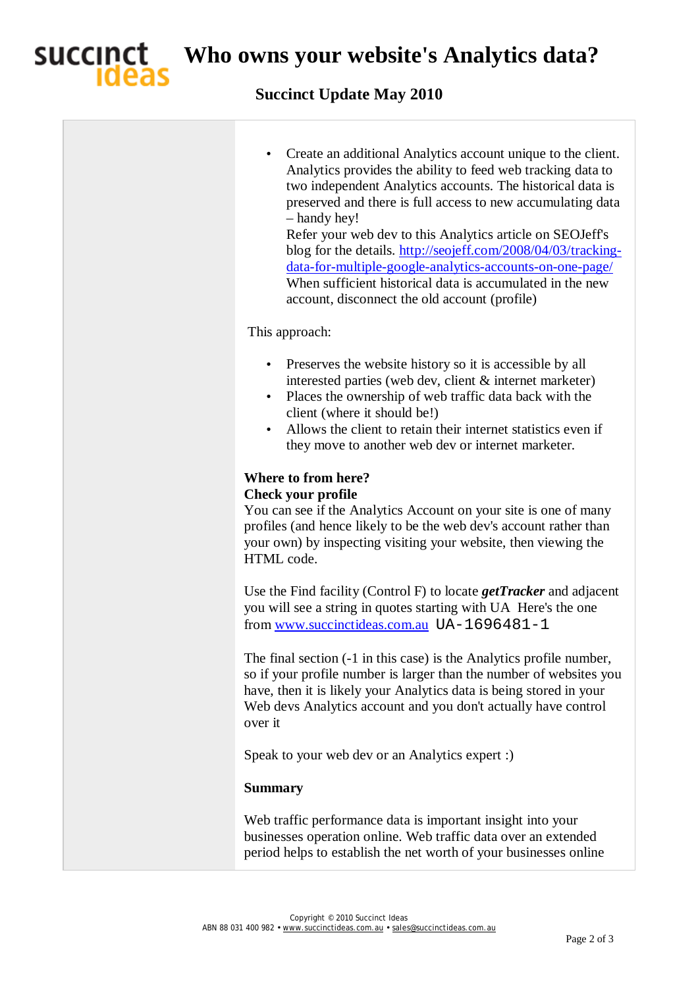

**Who owns your website's Analytics data?** 

## **Succinct Update May 2010**

| Create an additional Analytics account unique to the client.<br>٠<br>Analytics provides the ability to feed web tracking data to<br>two independent Analytics accounts. The historical data is<br>preserved and there is full access to new accumulating data<br>- handy hey!<br>Refer your web dev to this Analytics article on SEOJeff's<br>blog for the details. http://seojeff.com/2008/04/03/tracking-<br>data-for-multiple-google-analytics-accounts-on-one-page/<br>When sufficient historical data is accumulated in the new<br>account, disconnect the old account (profile) |
|---------------------------------------------------------------------------------------------------------------------------------------------------------------------------------------------------------------------------------------------------------------------------------------------------------------------------------------------------------------------------------------------------------------------------------------------------------------------------------------------------------------------------------------------------------------------------------------|
| This approach:                                                                                                                                                                                                                                                                                                                                                                                                                                                                                                                                                                        |
| Preserves the website history so it is accessible by all<br>$\bullet$<br>interested parties (web dev, client & internet marketer)<br>Places the ownership of web traffic data back with the<br>$\bullet$<br>client (where it should be!)<br>Allows the client to retain their internet statistics even if<br>they move to another web dev or internet marketer.                                                                                                                                                                                                                       |
| Where to from here?<br><b>Check your profile</b><br>You can see if the Analytics Account on your site is one of many<br>profiles (and hence likely to be the web dev's account rather than<br>your own) by inspecting visiting your website, then viewing the<br>HTML code.                                                                                                                                                                                                                                                                                                           |
| Use the Find facility (Control F) to locate $getTracker$ and adjacent<br>you will see a string in quotes starting with UA Here's the one<br>from www.succinctideas.com.au UA-1696481-1                                                                                                                                                                                                                                                                                                                                                                                                |
| The final section (-1 in this case) is the Analytics profile number,<br>so if your profile number is larger than the number of websites you<br>have, then it is likely your Analytics data is being stored in your<br>Web devs Analytics account and you don't actually have control<br>over it                                                                                                                                                                                                                                                                                       |
| Speak to your web dev or an Analytics expert :)                                                                                                                                                                                                                                                                                                                                                                                                                                                                                                                                       |
| <b>Summary</b>                                                                                                                                                                                                                                                                                                                                                                                                                                                                                                                                                                        |
| Web traffic performance data is important insight into your<br>businesses operation online. Web traffic data over an extended<br>period helps to establish the net worth of your businesses online                                                                                                                                                                                                                                                                                                                                                                                    |
|                                                                                                                                                                                                                                                                                                                                                                                                                                                                                                                                                                                       |